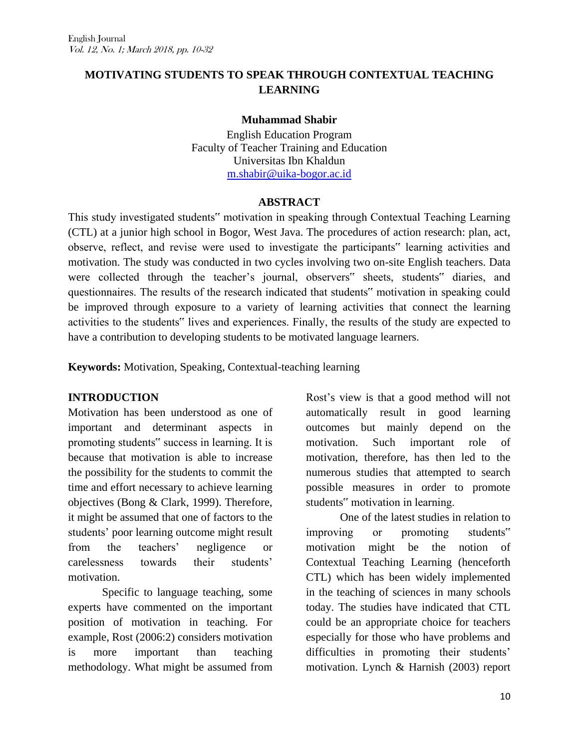# **MOTIVATING STUDENTS TO SPEAK THROUGH CONTEXTUAL TEACHING LEARNING**

#### **Muhammad Shabir**

English Education Program Faculty of Teacher Training and Education Universitas Ibn Khaldun [m.shabir@uika-bogor.ac.id](mailto:m.shabir@uika-bogor.ac.id)

#### **ABSTRACT**

This study investigated students" motivation in speaking through Contextual Teaching Learning (CTL) at a junior high school in Bogor, West Java. The procedures of action research: plan, act, observe, reflect, and revise were used to investigate the participants" learning activities and motivation. The study was conducted in two cycles involving two on-site English teachers. Data were collected through the teacher's journal, observers" sheets, students" diaries, and questionnaires. The results of the research indicated that students" motivation in speaking could be improved through exposure to a variety of learning activities that connect the learning activities to the students" lives and experiences. Finally, the results of the study are expected to have a contribution to developing students to be motivated language learners.

**Keywords:** Motivation, Speaking, Contextual-teaching learning

## **INTRODUCTION**

Motivation has been understood as one of important and determinant aspects in promoting students" success in learning. It is because that motivation is able to increase the possibility for the students to commit the time and effort necessary to achieve learning objectives (Bong & Clark, 1999). Therefore, it might be assumed that one of factors to the students' poor learning outcome might result from the teachers" negligence or carelessness towards their students" motivation.

Specific to language teaching, some experts have commented on the important position of motivation in teaching. For example, Rost (2006:2) considers motivation is more important than teaching methodology. What might be assumed from

Rost"s view is that a good method will not automatically result in good learning outcomes but mainly depend on the motivation. Such important role of motivation, therefore, has then led to the numerous studies that attempted to search possible measures in order to promote students" motivation in learning.

One of the latest studies in relation to improving or promoting students" motivation might be the notion of Contextual Teaching Learning (henceforth CTL) which has been widely implemented in the teaching of sciences in many schools today. The studies have indicated that CTL could be an appropriate choice for teachers especially for those who have problems and difficulties in promoting their students' motivation. Lynch & Harnish (2003) report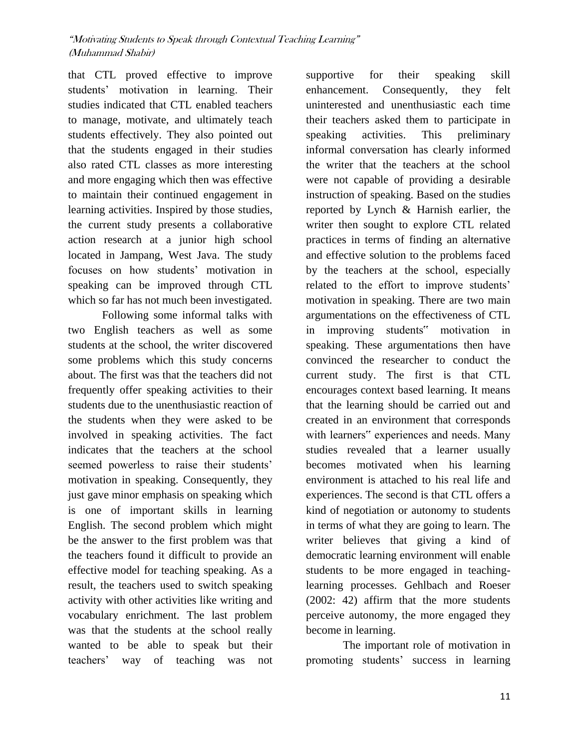that CTL proved effective to improve students" motivation in learning. Their studies indicated that CTL enabled teachers to manage, motivate, and ultimately teach students effectively. They also pointed out that the students engaged in their studies also rated CTL classes as more interesting and more engaging which then was effective to maintain their continued engagement in learning activities. Inspired by those studies, the current study presents a collaborative action research at a junior high school located in Jampang, West Java. The study focuses on how students" motivation in speaking can be improved through CTL which so far has not much been investigated.

Following some informal talks with two English teachers as well as some students at the school, the writer discovered some problems which this study concerns about. The first was that the teachers did not frequently offer speaking activities to their students due to the unenthusiastic reaction of the students when they were asked to be involved in speaking activities. The fact indicates that the teachers at the school seemed powerless to raise their students' motivation in speaking. Consequently, they just gave minor emphasis on speaking which is one of important skills in learning English. The second problem which might be the answer to the first problem was that the teachers found it difficult to provide an effective model for teaching speaking. As a result, the teachers used to switch speaking activity with other activities like writing and vocabulary enrichment. The last problem was that the students at the school really wanted to be able to speak but their teachers" way of teaching was not

supportive for their speaking skill enhancement. Consequently, they felt uninterested and unenthusiastic each time their teachers asked them to participate in speaking activities. This preliminary informal conversation has clearly informed the writer that the teachers at the school were not capable of providing a desirable instruction of speaking. Based on the studies reported by Lynch & Harnish earlier, the writer then sought to explore CTL related practices in terms of finding an alternative and effective solution to the problems faced by the teachers at the school, especially related to the effort to improve students' motivation in speaking. There are two main argumentations on the effectiveness of CTL in improving students" motivation in speaking. These argumentations then have convinced the researcher to conduct the current study. The first is that CTL encourages context based learning. It means that the learning should be carried out and created in an environment that corresponds with learners" experiences and needs. Many studies revealed that a learner usually becomes motivated when his learning environment is attached to his real life and experiences. The second is that CTL offers a kind of negotiation or autonomy to students in terms of what they are going to learn. The writer believes that giving a kind of democratic learning environment will enable students to be more engaged in teachinglearning processes. Gehlbach and Roeser (2002: 42) affirm that the more students perceive autonomy, the more engaged they become in learning.

The important role of motivation in promoting students" success in learning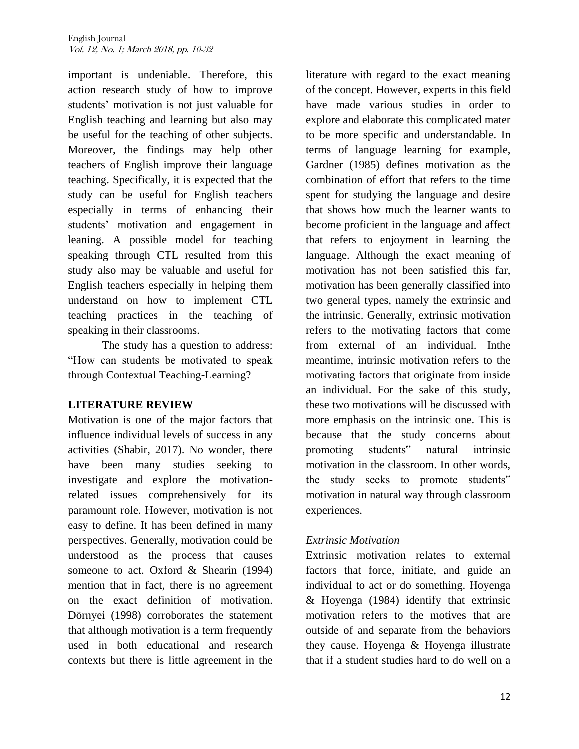important is undeniable. Therefore, this action research study of how to improve students' motivation is not just valuable for English teaching and learning but also may be useful for the teaching of other subjects. Moreover, the findings may help other teachers of English improve their language teaching. Specifically, it is expected that the study can be useful for English teachers especially in terms of enhancing their students" motivation and engagement in leaning. A possible model for teaching speaking through CTL resulted from this study also may be valuable and useful for English teachers especially in helping them understand on how to implement CTL teaching practices in the teaching of speaking in their classrooms.

The study has a question to address: "How can students be motivated to speak through Contextual Teaching-Learning?

## **LITERATURE REVIEW**

Motivation is one of the major factors that influence individual levels of success in any activities (Shabir, 2017). No wonder, there have been many studies seeking to investigate and explore the motivationrelated issues comprehensively for its paramount role. However, motivation is not easy to define. It has been defined in many perspectives. Generally, motivation could be understood as the process that causes someone to act. Oxford & Shearin (1994) mention that in fact, there is no agreement on the exact definition of motivation. Dörnyei (1998) corroborates the statement that although motivation is a term frequently used in both educational and research contexts but there is little agreement in the

literature with regard to the exact meaning of the concept. However, experts in this field have made various studies in order to explore and elaborate this complicated mater to be more specific and understandable. In terms of language learning for example, Gardner (1985) defines motivation as the combination of effort that refers to the time spent for studying the language and desire that shows how much the learner wants to become proficient in the language and affect that refers to enjoyment in learning the language. Although the exact meaning of motivation has not been satisfied this far, motivation has been generally classified into two general types, namely the extrinsic and the intrinsic. Generally, extrinsic motivation refers to the motivating factors that come from external of an individual. Inthe meantime, intrinsic motivation refers to the motivating factors that originate from inside an individual. For the sake of this study, these two motivations will be discussed with more emphasis on the intrinsic one. This is because that the study concerns about promoting students" natural intrinsic motivation in the classroom. In other words, the study seeks to promote students" motivation in natural way through classroom experiences.

## *Extrinsic Motivation*

Extrinsic motivation relates to external factors that force, initiate, and guide an individual to act or do something. Hoyenga & Hoyenga (1984) identify that extrinsic motivation refers to the motives that are outside of and separate from the behaviors they cause. Hoyenga & Hoyenga illustrate that if a student studies hard to do well on a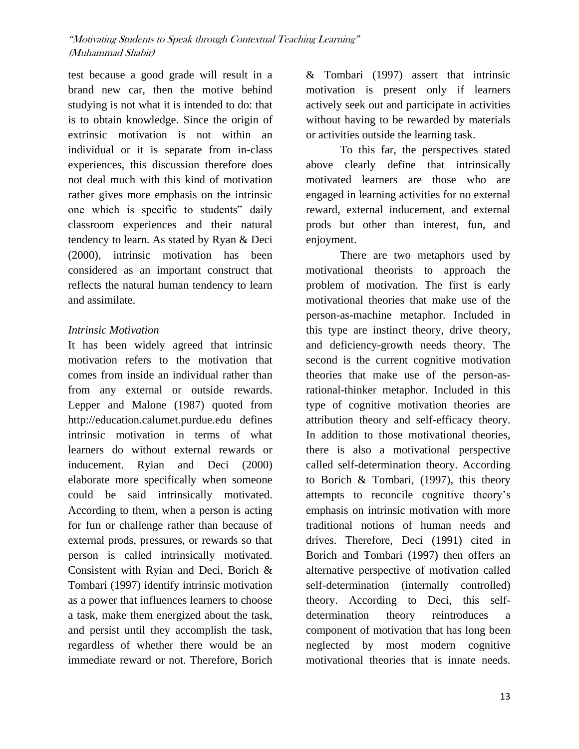test because a good grade will result in a brand new car, then the motive behind studying is not what it is intended to do: that is to obtain knowledge. Since the origin of extrinsic motivation is not within an individual or it is separate from in-class experiences, this discussion therefore does not deal much with this kind of motivation rather gives more emphasis on the intrinsic one which is specific to students" daily classroom experiences and their natural tendency to learn. As stated by Ryan & Deci (2000), intrinsic motivation has been considered as an important construct that reflects the natural human tendency to learn and assimilate.

## *Intrinsic Motivation*

It has been widely agreed that intrinsic motivation refers to the motivation that comes from inside an individual rather than from any external or outside rewards. Lepper and Malone (1987) quoted from http://education.calumet.purdue.edu defines intrinsic motivation in terms of what learners do without external rewards or inducement. Ryian and Deci (2000) elaborate more specifically when someone could be said intrinsically motivated. According to them, when a person is acting for fun or challenge rather than because of external prods, pressures, or rewards so that person is called intrinsically motivated. Consistent with Ryian and Deci, Borich & Tombari (1997) identify intrinsic motivation as a power that influences learners to choose a task, make them energized about the task, and persist until they accomplish the task, regardless of whether there would be an immediate reward or not. Therefore, Borich

& Tombari (1997) assert that intrinsic motivation is present only if learners actively seek out and participate in activities without having to be rewarded by materials or activities outside the learning task.

To this far, the perspectives stated above clearly define that intrinsically motivated learners are those who are engaged in learning activities for no external reward, external inducement, and external prods but other than interest, fun, and enjoyment.

There are two metaphors used by motivational theorists to approach the problem of motivation. The first is early motivational theories that make use of the person-as-machine metaphor. Included in this type are instinct theory, drive theory, and deficiency-growth needs theory. The second is the current cognitive motivation theories that make use of the person-asrational-thinker metaphor. Included in this type of cognitive motivation theories are attribution theory and self-efficacy theory. In addition to those motivational theories, there is also a motivational perspective called self-determination theory. According to Borich & Tombari, (1997), this theory attempts to reconcile cognitive theory"s emphasis on intrinsic motivation with more traditional notions of human needs and drives. Therefore, Deci (1991) cited in Borich and Tombari (1997) then offers an alternative perspective of motivation called self-determination (internally controlled) theory. According to Deci, this selfdetermination theory reintroduces a component of motivation that has long been neglected by most modern cognitive motivational theories that is innate needs.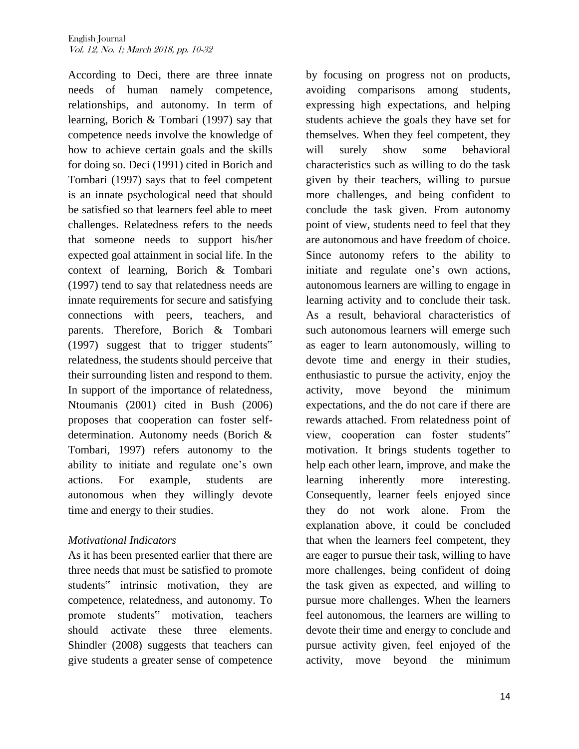According to Deci, there are three innate needs of human namely competence, relationships, and autonomy. In term of learning, Borich & Tombari (1997) say that competence needs involve the knowledge of how to achieve certain goals and the skills for doing so. Deci (1991) cited in Borich and Tombari (1997) says that to feel competent is an innate psychological need that should be satisfied so that learners feel able to meet challenges. Relatedness refers to the needs that someone needs to support his/her expected goal attainment in social life. In the context of learning, Borich & Tombari (1997) tend to say that relatedness needs are innate requirements for secure and satisfying connections with peers, teachers, and parents. Therefore, Borich & Tombari (1997) suggest that to trigger students" relatedness, the students should perceive that their surrounding listen and respond to them. In support of the importance of relatedness, Ntoumanis (2001) cited in Bush (2006) proposes that cooperation can foster selfdetermination. Autonomy needs (Borich & Tombari, 1997) refers autonomy to the ability to initiate and regulate one"s own actions. For example, students are autonomous when they willingly devote time and energy to their studies.

## *Motivational Indicators*

As it has been presented earlier that there are three needs that must be satisfied to promote students" intrinsic motivation, they are competence, relatedness, and autonomy. To promote students" motivation, teachers should activate these three elements. Shindler (2008) suggests that teachers can give students a greater sense of competence

by focusing on progress not on products, avoiding comparisons among students, expressing high expectations, and helping students achieve the goals they have set for themselves. When they feel competent, they will surely show some behavioral characteristics such as willing to do the task given by their teachers, willing to pursue more challenges, and being confident to conclude the task given. From autonomy point of view, students need to feel that they are autonomous and have freedom of choice. Since autonomy refers to the ability to initiate and regulate one"s own actions, autonomous learners are willing to engage in learning activity and to conclude their task. As a result, behavioral characteristics of such autonomous learners will emerge such as eager to learn autonomously, willing to devote time and energy in their studies, enthusiastic to pursue the activity, enjoy the activity, move beyond the minimum expectations, and the do not care if there are rewards attached. From relatedness point of view, cooperation can foster students" motivation. It brings students together to help each other learn, improve, and make the learning inherently more interesting. Consequently, learner feels enjoyed since they do not work alone. From the explanation above, it could be concluded that when the learners feel competent, they are eager to pursue their task, willing to have more challenges, being confident of doing the task given as expected, and willing to pursue more challenges. When the learners feel autonomous, the learners are willing to devote their time and energy to conclude and pursue activity given, feel enjoyed of the activity, move beyond the minimum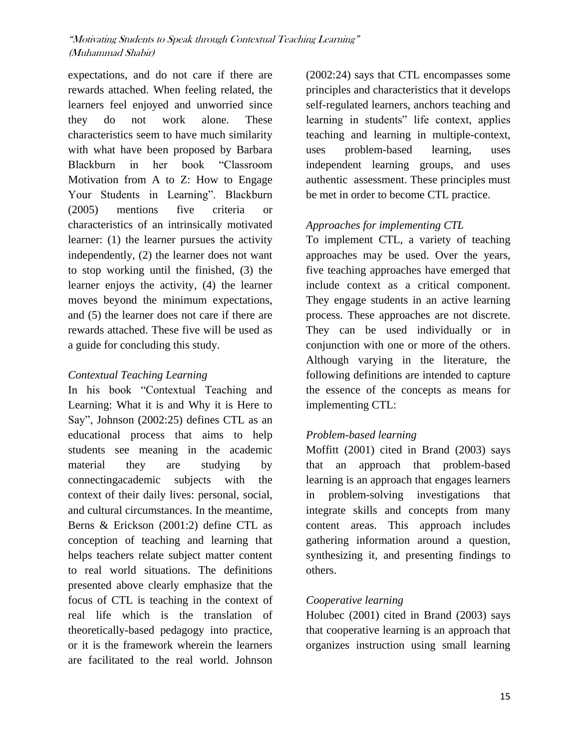expectations, and do not care if there are rewards attached. When feeling related, the learners feel enjoyed and unworried since they do not work alone. These characteristics seem to have much similarity with what have been proposed by Barbara Blackburn in her book "Classroom Motivation from A to Z: How to Engage Your Students in Learning". Blackburn (2005) mentions five criteria or characteristics of an intrinsically motivated learner: (1) the learner pursues the activity independently, (2) the learner does not want to stop working until the finished, (3) the learner enjoys the activity, (4) the learner moves beyond the minimum expectations, and (5) the learner does not care if there are rewards attached. These five will be used as a guide for concluding this study.

# *Contextual Teaching Learning*

In his book "Contextual Teaching and Learning: What it is and Why it is Here to Say", Johnson (2002:25) defines CTL as an educational process that aims to help students see meaning in the academic material they are studying by connectingacademic subjects with the context of their daily lives: personal, social, and cultural circumstances. In the meantime, Berns & Erickson (2001:2) define CTL as conception of teaching and learning that helps teachers relate subject matter content to real world situations. The definitions presented above clearly emphasize that the focus of CTL is teaching in the context of real life which is the translation of theoretically-based pedagogy into practice, or it is the framework wherein the learners are facilitated to the real world. Johnson

(2002:24) says that CTL encompasses some principles and characteristics that it develops self-regulated learners, anchors teaching and learning in students" life context, applies teaching and learning in multiple-context, uses problem-based learning, uses independent learning groups, and uses authentic assessment. These principles must be met in order to become CTL practice.

# *Approaches for implementing CTL*

To implement CTL, a variety of teaching approaches may be used. Over the years, five teaching approaches have emerged that include context as a critical component. They engage students in an active learning process. These approaches are not discrete. They can be used individually or in conjunction with one or more of the others. Although varying in the literature, the following definitions are intended to capture the essence of the concepts as means for implementing CTL:

# *Problem-based learning*

Moffitt (2001) cited in Brand (2003) says that an approach that problem-based learning is an approach that engages learners in problem-solving investigations that integrate skills and concepts from many content areas. This approach includes gathering information around a question, synthesizing it, and presenting findings to others.

## *Cooperative learning*

Holubec (2001) cited in Brand (2003) says that cooperative learning is an approach that organizes instruction using small learning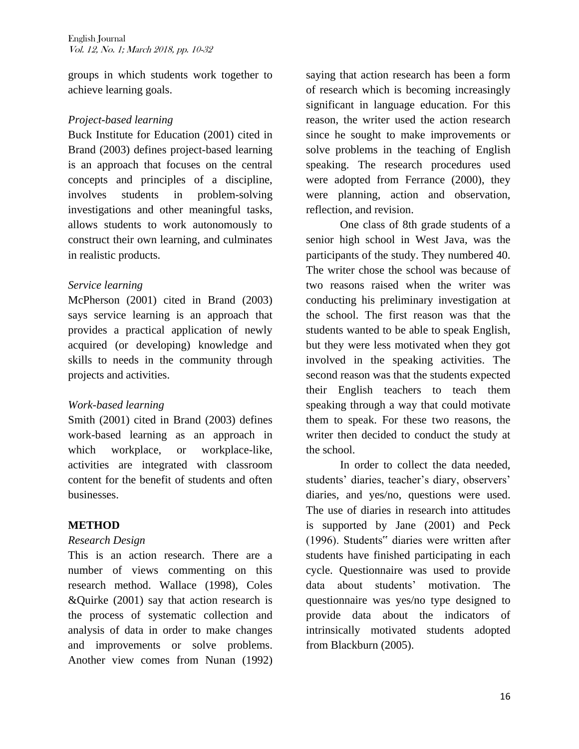groups in which students work together to achieve learning goals.

#### *Project-based learning*

Buck Institute for Education (2001) cited in Brand (2003) defines project-based learning is an approach that focuses on the central concepts and principles of a discipline, involves students in problem-solving investigations and other meaningful tasks, allows students to work autonomously to construct their own learning, and culminates in realistic products.

#### *Service learning*

McPherson (2001) cited in Brand (2003) says service learning is an approach that provides a practical application of newly acquired (or developing) knowledge and skills to needs in the community through projects and activities.

## *Work-based learning*

Smith (2001) cited in Brand (2003) defines work-based learning as an approach in which workplace, or workplace-like, activities are integrated with classroom content for the benefit of students and often businesses.

## **METHOD**

## *Research Design*

This is an action research. There are a number of views commenting on this research method. Wallace (1998), Coles &Quirke (2001) say that action research is the process of systematic collection and analysis of data in order to make changes and improvements or solve problems. Another view comes from Nunan (1992)

saying that action research has been a form of research which is becoming increasingly significant in language education. For this reason, the writer used the action research since he sought to make improvements or solve problems in the teaching of English speaking. The research procedures used were adopted from Ferrance (2000), they were planning, action and observation, reflection, and revision.

One class of 8th grade students of a senior high school in West Java, was the participants of the study. They numbered 40. The writer chose the school was because of two reasons raised when the writer was conducting his preliminary investigation at the school. The first reason was that the students wanted to be able to speak English, but they were less motivated when they got involved in the speaking activities. The second reason was that the students expected their English teachers to teach them speaking through a way that could motivate them to speak. For these two reasons, the writer then decided to conduct the study at the school.

In order to collect the data needed, students' diaries, teacher's diary, observers' diaries, and yes/no, questions were used. The use of diaries in research into attitudes is supported by Jane (2001) and Peck (1996). Students" diaries were written after students have finished participating in each cycle. Questionnaire was used to provide data about students" motivation. The questionnaire was yes/no type designed to provide data about the indicators of intrinsically motivated students adopted from Blackburn (2005).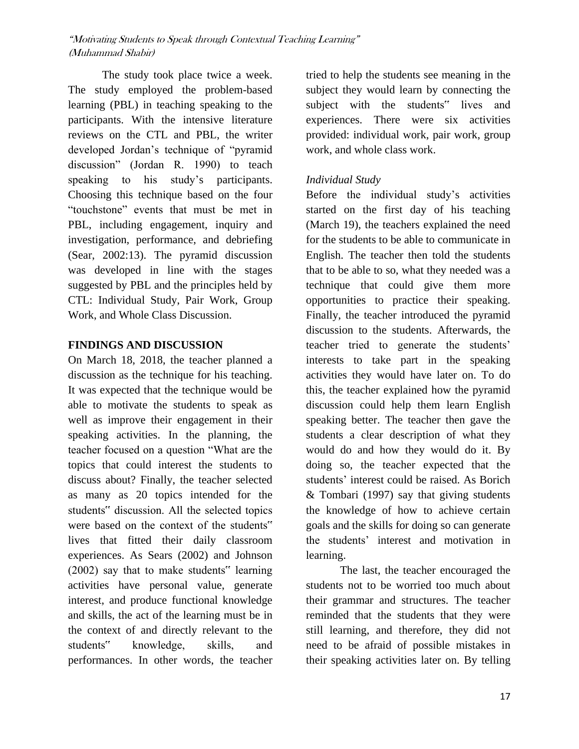The study took place twice a week. The study employed the problem-based learning (PBL) in teaching speaking to the participants. With the intensive literature reviews on the CTL and PBL, the writer developed Jordan"s technique of "pyramid discussion" (Jordan R. 1990) to teach speaking to his study's participants. Choosing this technique based on the four "touchstone" events that must be met in PBL, including engagement, inquiry and investigation, performance, and debriefing (Sear, 2002:13). The pyramid discussion was developed in line with the stages suggested by PBL and the principles held by CTL: Individual Study, Pair Work, Group Work, and Whole Class Discussion.

#### **FINDINGS AND DISCUSSION**

On March 18, 2018, the teacher planned a discussion as the technique for his teaching. It was expected that the technique would be able to motivate the students to speak as well as improve their engagement in their speaking activities. In the planning, the teacher focused on a question "What are the topics that could interest the students to discuss about? Finally, the teacher selected as many as 20 topics intended for the students" discussion. All the selected topics were based on the context of the students" lives that fitted their daily classroom experiences. As Sears (2002) and Johnson (2002) say that to make students" learning activities have personal value, generate interest, and produce functional knowledge and skills, the act of the learning must be in the context of and directly relevant to the students" knowledge, skills, and performances. In other words, the teacher

tried to help the students see meaning in the subject they would learn by connecting the subject with the students" lives and experiences. There were six activities provided: individual work, pair work, group work, and whole class work.

## *Individual Study*

Before the individual study"s activities started on the first day of his teaching (March 19), the teachers explained the need for the students to be able to communicate in English. The teacher then told the students that to be able to so, what they needed was a technique that could give them more opportunities to practice their speaking. Finally, the teacher introduced the pyramid discussion to the students. Afterwards, the teacher tried to generate the students" interests to take part in the speaking activities they would have later on. To do this, the teacher explained how the pyramid discussion could help them learn English speaking better. The teacher then gave the students a clear description of what they would do and how they would do it. By doing so, the teacher expected that the students" interest could be raised. As Borich & Tombari (1997) say that giving students the knowledge of how to achieve certain goals and the skills for doing so can generate the students" interest and motivation in learning.

The last, the teacher encouraged the students not to be worried too much about their grammar and structures. The teacher reminded that the students that they were still learning, and therefore, they did not need to be afraid of possible mistakes in their speaking activities later on. By telling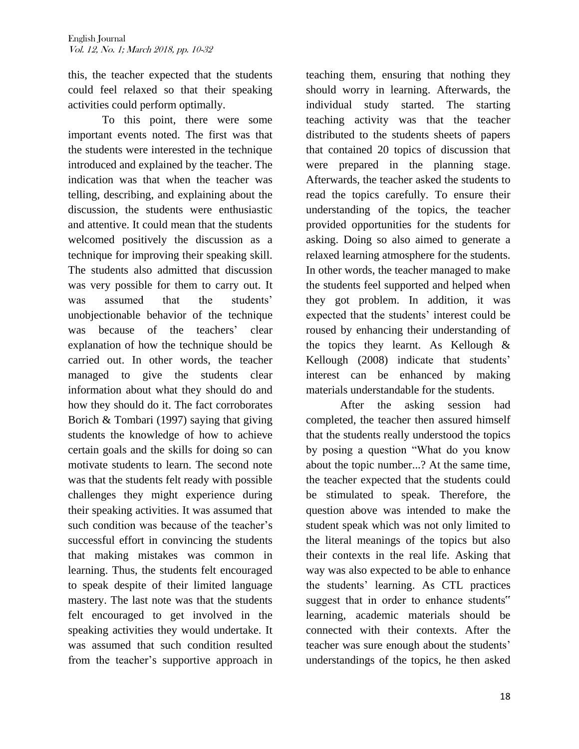this, the teacher expected that the students could feel relaxed so that their speaking activities could perform optimally.

To this point, there were some important events noted. The first was that the students were interested in the technique introduced and explained by the teacher. The indication was that when the teacher was telling, describing, and explaining about the discussion, the students were enthusiastic and attentive. It could mean that the students welcomed positively the discussion as a technique for improving their speaking skill. The students also admitted that discussion was very possible for them to carry out. It was assumed that the students' unobjectionable behavior of the technique was because of the teachers' clear explanation of how the technique should be carried out. In other words, the teacher managed to give the students clear information about what they should do and how they should do it. The fact corroborates Borich & Tombari (1997) saying that giving students the knowledge of how to achieve certain goals and the skills for doing so can motivate students to learn. The second note was that the students felt ready with possible challenges they might experience during their speaking activities. It was assumed that such condition was because of the teacher's successful effort in convincing the students that making mistakes was common in learning. Thus, the students felt encouraged to speak despite of their limited language mastery. The last note was that the students felt encouraged to get involved in the speaking activities they would undertake. It was assumed that such condition resulted from the teacher"s supportive approach in

teaching them, ensuring that nothing they should worry in learning. Afterwards, the individual study started. The starting teaching activity was that the teacher distributed to the students sheets of papers that contained 20 topics of discussion that were prepared in the planning stage. Afterwards, the teacher asked the students to read the topics carefully. To ensure their understanding of the topics, the teacher provided opportunities for the students for asking. Doing so also aimed to generate a relaxed learning atmosphere for the students. In other words, the teacher managed to make the students feel supported and helped when they got problem. In addition, it was expected that the students' interest could be roused by enhancing their understanding of the topics they learnt. As Kellough & Kellough (2008) indicate that students' interest can be enhanced by making materials understandable for the students.

After the asking session had completed, the teacher then assured himself that the students really understood the topics by posing a question "What do you know about the topic number...? At the same time, the teacher expected that the students could be stimulated to speak. Therefore, the question above was intended to make the student speak which was not only limited to the literal meanings of the topics but also their contexts in the real life. Asking that way was also expected to be able to enhance the students" learning. As CTL practices suggest that in order to enhance students" learning, academic materials should be connected with their contexts. After the teacher was sure enough about the students" understandings of the topics, he then asked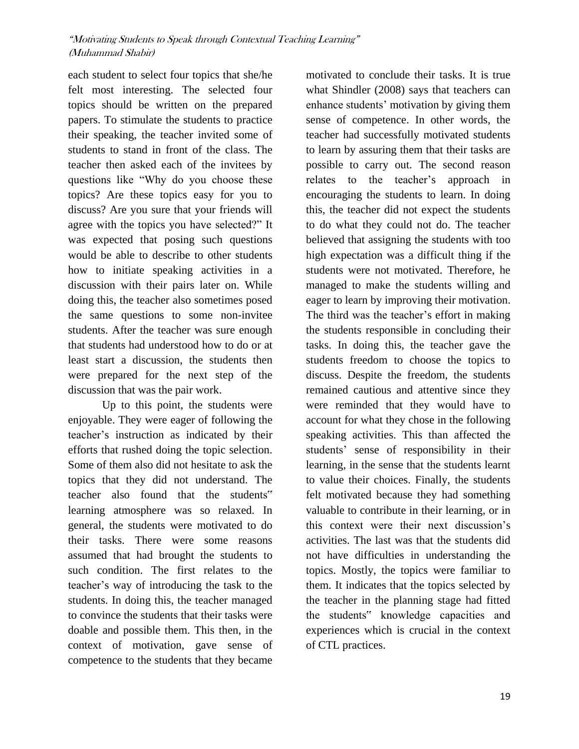each student to select four topics that she/he felt most interesting. The selected four topics should be written on the prepared papers. To stimulate the students to practice their speaking, the teacher invited some of students to stand in front of the class. The teacher then asked each of the invitees by questions like "Why do you choose these topics? Are these topics easy for you to discuss? Are you sure that your friends will agree with the topics you have selected?" It was expected that posing such questions would be able to describe to other students how to initiate speaking activities in a discussion with their pairs later on. While doing this, the teacher also sometimes posed the same questions to some non-invitee students. After the teacher was sure enough that students had understood how to do or at least start a discussion, the students then were prepared for the next step of the discussion that was the pair work.

Up to this point, the students were enjoyable. They were eager of following the teacher"s instruction as indicated by their efforts that rushed doing the topic selection. Some of them also did not hesitate to ask the topics that they did not understand. The teacher also found that the students" learning atmosphere was so relaxed. In general, the students were motivated to do their tasks. There were some reasons assumed that had brought the students to such condition. The first relates to the teacher"s way of introducing the task to the students. In doing this, the teacher managed to convince the students that their tasks were doable and possible them. This then, in the context of motivation, gave sense of competence to the students that they became motivated to conclude their tasks. It is true what Shindler (2008) says that teachers can enhance students' motivation by giving them sense of competence. In other words, the teacher had successfully motivated students to learn by assuring them that their tasks are possible to carry out. The second reason relates to the teacher"s approach in encouraging the students to learn. In doing this, the teacher did not expect the students to do what they could not do. The teacher believed that assigning the students with too high expectation was a difficult thing if the students were not motivated. Therefore, he managed to make the students willing and eager to learn by improving their motivation. The third was the teacher's effort in making the students responsible in concluding their tasks. In doing this, the teacher gave the students freedom to choose the topics to discuss. Despite the freedom, the students remained cautious and attentive since they were reminded that they would have to account for what they chose in the following speaking activities. This than affected the students" sense of responsibility in their learning, in the sense that the students learnt to value their choices. Finally, the students felt motivated because they had something valuable to contribute in their learning, or in this context were their next discussion"s activities. The last was that the students did not have difficulties in understanding the topics. Mostly, the topics were familiar to them. It indicates that the topics selected by the teacher in the planning stage had fitted the students" knowledge capacities and experiences which is crucial in the context of CTL practices.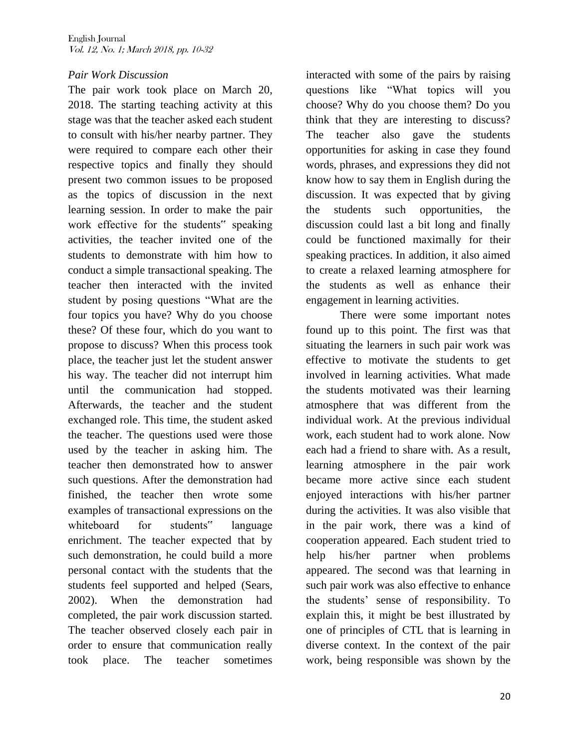#### *Pair Work Discussion*

The pair work took place on March 20, 2018. The starting teaching activity at this stage was that the teacher asked each student to consult with his/her nearby partner. They were required to compare each other their respective topics and finally they should present two common issues to be proposed as the topics of discussion in the next learning session. In order to make the pair work effective for the students" speaking activities, the teacher invited one of the students to demonstrate with him how to conduct a simple transactional speaking. The teacher then interacted with the invited student by posing questions "What are the four topics you have? Why do you choose these? Of these four, which do you want to propose to discuss? When this process took place, the teacher just let the student answer his way. The teacher did not interrupt him until the communication had stopped. Afterwards, the teacher and the student exchanged role. This time, the student asked the teacher. The questions used were those used by the teacher in asking him. The teacher then demonstrated how to answer such questions. After the demonstration had finished, the teacher then wrote some examples of transactional expressions on the whiteboard for students" language enrichment. The teacher expected that by such demonstration, he could build a more personal contact with the students that the students feel supported and helped (Sears, 2002). When the demonstration had completed, the pair work discussion started. The teacher observed closely each pair in order to ensure that communication really took place. The teacher sometimes

interacted with some of the pairs by raising questions like "What topics will you choose? Why do you choose them? Do you think that they are interesting to discuss? The teacher also gave the students opportunities for asking in case they found words, phrases, and expressions they did not know how to say them in English during the discussion. It was expected that by giving the students such opportunities, the discussion could last a bit long and finally could be functioned maximally for their speaking practices. In addition, it also aimed to create a relaxed learning atmosphere for the students as well as enhance their engagement in learning activities. There were some important notes

found up to this point. The first was that situating the learners in such pair work was effective to motivate the students to get involved in learning activities. What made the students motivated was their learning atmosphere that was different from the individual work. At the previous individual work, each student had to work alone. Now each had a friend to share with. As a result, learning atmosphere in the pair work became more active since each student enjoyed interactions with his/her partner during the activities. It was also visible that in the pair work, there was a kind of cooperation appeared. Each student tried to help his/her partner when problems appeared. The second was that learning in such pair work was also effective to enhance the students" sense of responsibility. To explain this, it might be best illustrated by one of principles of CTL that is learning in diverse context. In the context of the pair work, being responsible was shown by the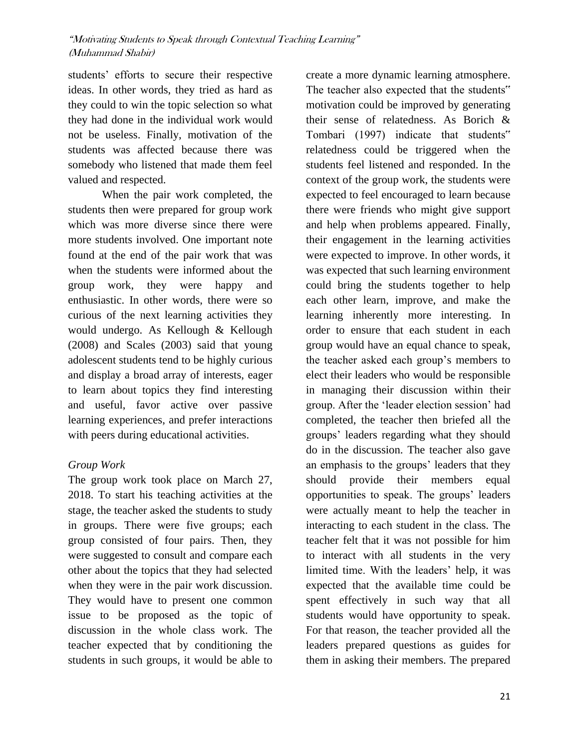students" efforts to secure their respective ideas. In other words, they tried as hard as they could to win the topic selection so what they had done in the individual work would not be useless. Finally, motivation of the students was affected because there was somebody who listened that made them feel valued and respected.

When the pair work completed, the students then were prepared for group work which was more diverse since there were more students involved. One important note found at the end of the pair work that was when the students were informed about the group work, they were happy and enthusiastic. In other words, there were so curious of the next learning activities they would undergo. As Kellough & Kellough (2008) and Scales (2003) said that young adolescent students tend to be highly curious and display a broad array of interests, eager to learn about topics they find interesting and useful, favor active over passive learning experiences, and prefer interactions with peers during educational activities.

## *Group Work*

The group work took place on March 27, 2018. To start his teaching activities at the stage, the teacher asked the students to study in groups. There were five groups; each group consisted of four pairs. Then, they were suggested to consult and compare each other about the topics that they had selected when they were in the pair work discussion. They would have to present one common issue to be proposed as the topic of discussion in the whole class work. The teacher expected that by conditioning the students in such groups, it would be able to

create a more dynamic learning atmosphere. The teacher also expected that the students" motivation could be improved by generating their sense of relatedness. As Borich & Tombari (1997) indicate that students" relatedness could be triggered when the students feel listened and responded. In the context of the group work, the students were expected to feel encouraged to learn because there were friends who might give support and help when problems appeared. Finally, their engagement in the learning activities were expected to improve. In other words, it was expected that such learning environment could bring the students together to help each other learn, improve, and make the learning inherently more interesting. In order to ensure that each student in each group would have an equal chance to speak, the teacher asked each group"s members to elect their leaders who would be responsible in managing their discussion within their group. After the "leader election session" had completed, the teacher then briefed all the groups" leaders regarding what they should do in the discussion. The teacher also gave an emphasis to the groups' leaders that they should provide their members equal opportunities to speak. The groups' leaders were actually meant to help the teacher in interacting to each student in the class. The teacher felt that it was not possible for him to interact with all students in the very limited time. With the leaders' help, it was expected that the available time could be spent effectively in such way that all students would have opportunity to speak. For that reason, the teacher provided all the leaders prepared questions as guides for them in asking their members. The prepared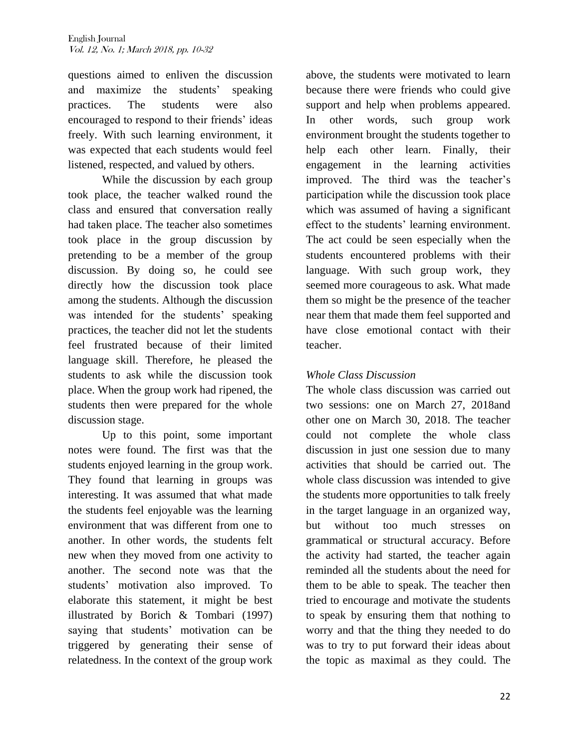questions aimed to enliven the discussion and maximize the students' speaking practices. The students were also encouraged to respond to their friends" ideas freely. With such learning environment, it was expected that each students would feel listened, respected, and valued by others.

While the discussion by each group took place, the teacher walked round the class and ensured that conversation really had taken place. The teacher also sometimes took place in the group discussion by pretending to be a member of the group discussion. By doing so, he could see directly how the discussion took place among the students. Although the discussion was intended for the students' speaking practices, the teacher did not let the students feel frustrated because of their limited language skill. Therefore, he pleased the students to ask while the discussion took place. When the group work had ripened, the students then were prepared for the whole discussion stage.

Up to this point, some important notes were found. The first was that the students enjoyed learning in the group work. They found that learning in groups was interesting. It was assumed that what made the students feel enjoyable was the learning environment that was different from one to another. In other words, the students felt new when they moved from one activity to another. The second note was that the students" motivation also improved. To elaborate this statement, it might be best illustrated by Borich & Tombari (1997) saying that students' motivation can be triggered by generating their sense of relatedness. In the context of the group work

above, the students were motivated to learn because there were friends who could give support and help when problems appeared. In other words, such group work environment brought the students together to help each other learn. Finally, their engagement in the learning activities improved. The third was the teacher's participation while the discussion took place which was assumed of having a significant effect to the students' learning environment. The act could be seen especially when the students encountered problems with their language. With such group work, they seemed more courageous to ask. What made them so might be the presence of the teacher near them that made them feel supported and have close emotional contact with their teacher.

# *Whole Class Discussion*

The whole class discussion was carried out two sessions: one on March 27, 2018and other one on March 30, 2018. The teacher could not complete the whole class discussion in just one session due to many activities that should be carried out. The whole class discussion was intended to give the students more opportunities to talk freely in the target language in an organized way, but without too much stresses on grammatical or structural accuracy. Before the activity had started, the teacher again reminded all the students about the need for them to be able to speak. The teacher then tried to encourage and motivate the students to speak by ensuring them that nothing to worry and that the thing they needed to do was to try to put forward their ideas about the topic as maximal as they could. The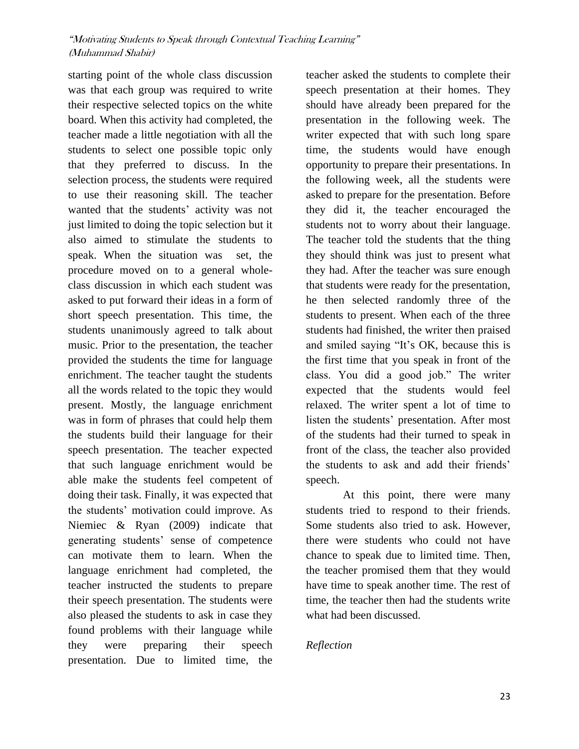starting point of the whole class discussion was that each group was required to write their respective selected topics on the white board. When this activity had completed, the teacher made a little negotiation with all the students to select one possible topic only that they preferred to discuss. In the selection process, the students were required to use their reasoning skill. The teacher wanted that the students' activity was not just limited to doing the topic selection but it also aimed to stimulate the students to speak. When the situation was set, the procedure moved on to a general wholeclass discussion in which each student was asked to put forward their ideas in a form of short speech presentation. This time, the students unanimously agreed to talk about music. Prior to the presentation, the teacher provided the students the time for language enrichment. The teacher taught the students all the words related to the topic they would present. Mostly, the language enrichment was in form of phrases that could help them the students build their language for their speech presentation. The teacher expected that such language enrichment would be able make the students feel competent of doing their task. Finally, it was expected that the students" motivation could improve. As Niemiec & Ryan (2009) indicate that generating students" sense of competence can motivate them to learn. When the language enrichment had completed, the teacher instructed the students to prepare their speech presentation. The students were also pleased the students to ask in case they found problems with their language while they were preparing their speech presentation. Due to limited time, the

teacher asked the students to complete their speech presentation at their homes. They should have already been prepared for the presentation in the following week. The writer expected that with such long spare time, the students would have enough opportunity to prepare their presentations. In the following week, all the students were asked to prepare for the presentation. Before they did it, the teacher encouraged the students not to worry about their language. The teacher told the students that the thing they should think was just to present what they had. After the teacher was sure enough that students were ready for the presentation, he then selected randomly three of the students to present. When each of the three students had finished, the writer then praised and smiled saying "It"s OK, because this is the first time that you speak in front of the class. You did a good job." The writer expected that the students would feel relaxed. The writer spent a lot of time to listen the students' presentation. After most of the students had their turned to speak in front of the class, the teacher also provided the students to ask and add their friends" speech.

At this point, there were many students tried to respond to their friends. Some students also tried to ask. However, there were students who could not have chance to speak due to limited time. Then, the teacher promised them that they would have time to speak another time. The rest of time, the teacher then had the students write what had been discussed.

## *Reflection*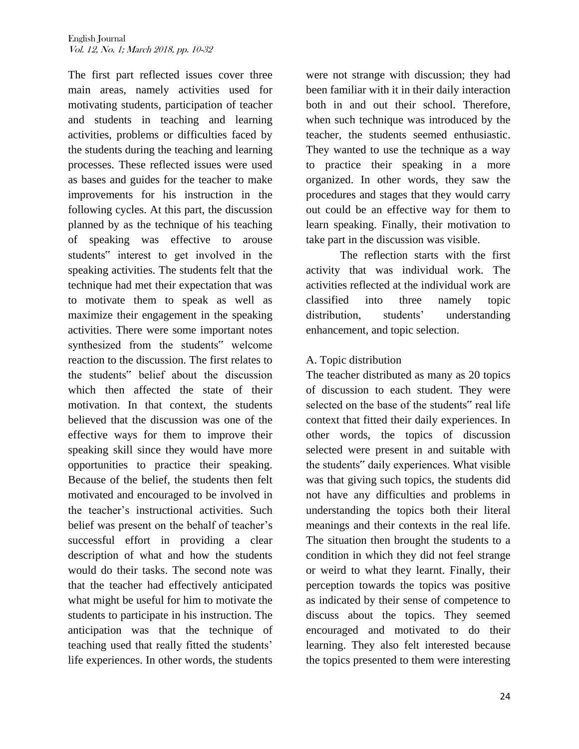The first part reflected issues cover three main areas, namely activities used for motivating students, participation of teacher and students in teaching and learning activities, problems or difficulties faced by the students during the teaching and learning processes. These reflected issues were used as bases and guides for the teacher to make improvements for his instruction in the following cycles. At this part, the discussion planned by as the technique of his teaching of speaking was effective to arouse students" interest to get involved in the speaking activities. The students felt that the technique had met their expectation that was to motivate them to speak as well as maximize their engagement in the speaking activities. There were some important notes synthesized from the students" welcome reaction to the discussion. The first relates to the students" belief about the discussion which then affected the state of their motivation. In that context, the students believed that the discussion was one of the effective ways for them to improve their speaking skill since they would have more opportunities to practice their speaking. Because of the belief, the students then felt motivated and encouraged to be involved in the teacher"s instructional activities. Such belief was present on the behalf of teacher's successful effort in providing a clear description of what and how the students would do their tasks. The second note was that the teacher had effectively anticipated what might be useful for him to motivate the students to participate in his instruction. The anticipation was that the technique of teaching used that really fitted the students" life experiences. In other words, the students

were not strange with discussion; they had been familiar with it in their daily interaction both in and out their school. Therefore, when such technique was introduced by the teacher, the students seemed enthusiastic. They wanted to use the technique as a way to practice their speaking in a more organized. In other words, they saw the procedures and stages that they would carry out could be an effective way for them to learn speaking. Finally, their motivation to take part in the discussion was visible.

The reflection starts with the first activity that was individual work. The activities reflected at the individual work are classified into three namely topic distribution, students' understanding enhancement, and topic selection.

# A. Topic distribution

The teacher distributed as many as 20 topics of discussion to each student. They were selected on the base of the students" real life context that fitted their daily experiences. In other words, the topics of discussion selected were present in and suitable with the students" daily experiences. What visible was that giving such topics, the students did not have any difficulties and problems in understanding the topics both their literal meanings and their contexts in the real life. The situation then brought the students to a condition in which they did not feel strange or weird to what they learnt. Finally, their perception towards the topics was positive as indicated by their sense of competence to discuss about the topics. They seemed encouraged and motivated to do their learning. They also felt interested because the topics presented to them were interesting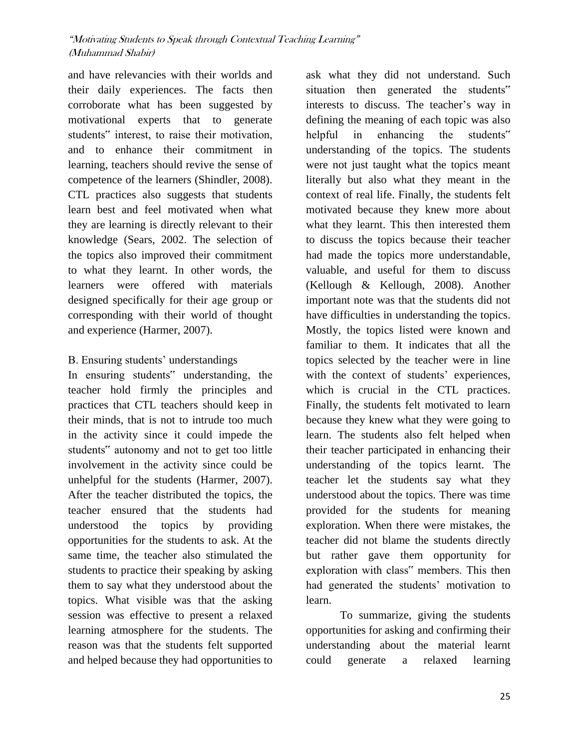and have relevancies with their worlds and their daily experiences. The facts then corroborate what has been suggested by motivational experts that to generate students" interest, to raise their motivation, and to enhance their commitment in learning, teachers should revive the sense of competence of the learners (Shindler, 2008). CTL practices also suggests that students learn best and feel motivated when what they are learning is directly relevant to their knowledge (Sears, 2002. The selection of the topics also improved their commitment to what they learnt. In other words, the learners were offered with materials designed specifically for their age group or corresponding with their world of thought and experience (Harmer, 2007).

# B. Ensuring students' understandings

In ensuring students" understanding, the teacher hold firmly the principles and practices that CTL teachers should keep in their minds, that is not to intrude too much in the activity since it could impede the students" autonomy and not to get too little involvement in the activity since could be unhelpful for the students (Harmer, 2007). After the teacher distributed the topics, the teacher ensured that the students had understood the topics by providing opportunities for the students to ask. At the same time, the teacher also stimulated the students to practice their speaking by asking them to say what they understood about the topics. What visible was that the asking session was effective to present a relaxed learning atmosphere for the students. The reason was that the students felt supported and helped because they had opportunities to

ask what they did not understand. Such situation then generated the students" interests to discuss. The teacher"s way in defining the meaning of each topic was also helpful in enhancing the students" understanding of the topics. The students were not just taught what the topics meant literally but also what they meant in the context of real life. Finally, the students felt motivated because they knew more about what they learnt. This then interested them to discuss the topics because their teacher had made the topics more understandable, valuable, and useful for them to discuss (Kellough & Kellough, 2008). Another important note was that the students did not have difficulties in understanding the topics. Mostly, the topics listed were known and familiar to them. It indicates that all the topics selected by the teacher were in line with the context of students' experiences, which is crucial in the CTL practices. Finally, the students felt motivated to learn because they knew what they were going to learn. The students also felt helped when their teacher participated in enhancing their understanding of the topics learnt. The teacher let the students say what they understood about the topics. There was time provided for the students for meaning exploration. When there were mistakes, the teacher did not blame the students directly but rather gave them opportunity for exploration with class" members. This then had generated the students' motivation to learn.

To summarize, giving the students opportunities for asking and confirming their understanding about the material learnt could generate a relaxed learning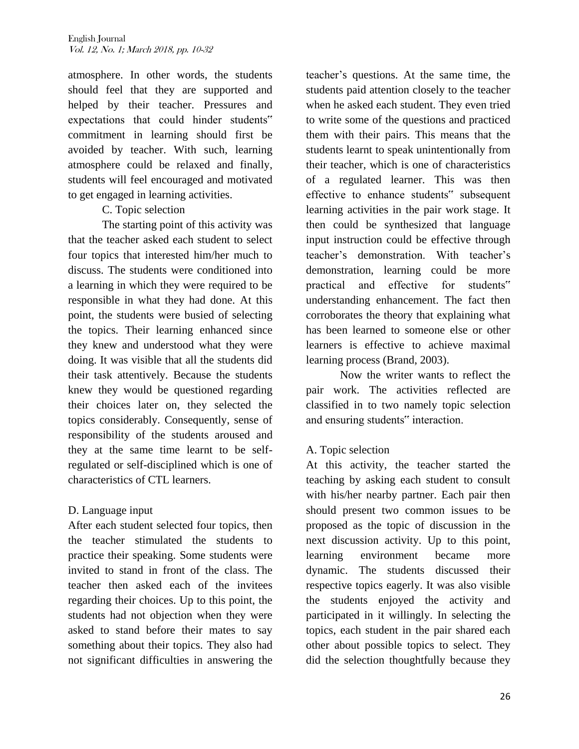atmosphere. In other words, the students should feel that they are supported and helped by their teacher. Pressures and expectations that could hinder students" commitment in learning should first be avoided by teacher. With such, learning atmosphere could be relaxed and finally, students will feel encouraged and motivated to get engaged in learning activities.

# C. Topic selection

The starting point of this activity was that the teacher asked each student to select four topics that interested him/her much to discuss. The students were conditioned into a learning in which they were required to be responsible in what they had done. At this point, the students were busied of selecting the topics. Their learning enhanced since they knew and understood what they were doing. It was visible that all the students did their task attentively. Because the students knew they would be questioned regarding their choices later on, they selected the topics considerably. Consequently, sense of responsibility of the students aroused and they at the same time learnt to be selfregulated or self-disciplined which is one of characteristics of CTL learners.

# D. Language input

After each student selected four topics, then the teacher stimulated the students to practice their speaking. Some students were invited to stand in front of the class. The teacher then asked each of the invitees regarding their choices. Up to this point, the students had not objection when they were asked to stand before their mates to say something about their topics. They also had not significant difficulties in answering the

teacher"s questions. At the same time, the students paid attention closely to the teacher when he asked each student. They even tried to write some of the questions and practiced them with their pairs. This means that the students learnt to speak unintentionally from their teacher, which is one of characteristics of a regulated learner. This was then effective to enhance students" subsequent learning activities in the pair work stage. It then could be synthesized that language input instruction could be effective through teacher"s demonstration. With teacher"s demonstration, learning could be more practical and effective for students" understanding enhancement. The fact then corroborates the theory that explaining what has been learned to someone else or other learners is effective to achieve maximal learning process (Brand, 2003).

Now the writer wants to reflect the pair work. The activities reflected are classified in to two namely topic selection and ensuring students" interaction.

# A. Topic selection

At this activity, the teacher started the teaching by asking each student to consult with his/her nearby partner. Each pair then should present two common issues to be proposed as the topic of discussion in the next discussion activity. Up to this point, learning environment became more dynamic. The students discussed their respective topics eagerly. It was also visible the students enjoyed the activity and participated in it willingly. In selecting the topics, each student in the pair shared each other about possible topics to select. They did the selection thoughtfully because they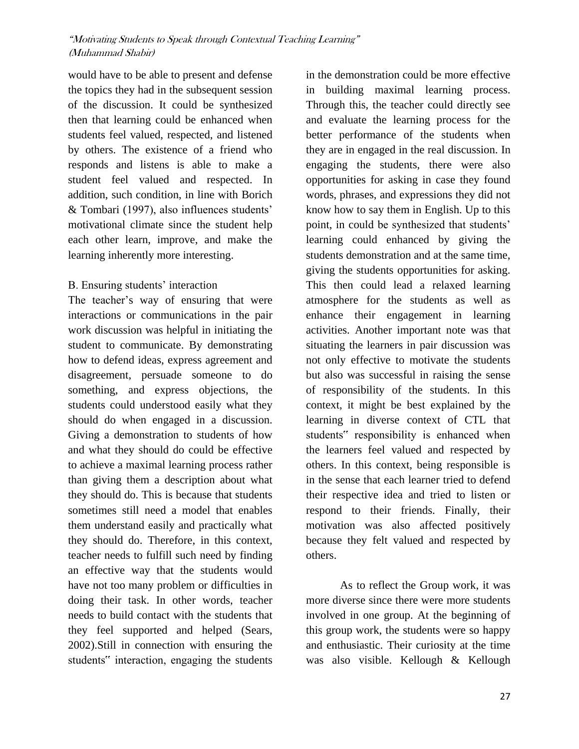would have to be able to present and defense the topics they had in the subsequent session of the discussion. It could be synthesized then that learning could be enhanced when students feel valued, respected, and listened by others. The existence of a friend who responds and listens is able to make a student feel valued and respected. In addition, such condition, in line with Borich & Tombari (1997), also influences students" motivational climate since the student help each other learn, improve, and make the learning inherently more interesting.

# B. Ensuring students' interaction

The teacher's way of ensuring that were interactions or communications in the pair work discussion was helpful in initiating the student to communicate. By demonstrating how to defend ideas, express agreement and disagreement, persuade someone to do something, and express objections, the students could understood easily what they should do when engaged in a discussion. Giving a demonstration to students of how and what they should do could be effective to achieve a maximal learning process rather than giving them a description about what they should do. This is because that students sometimes still need a model that enables them understand easily and practically what they should do. Therefore, in this context, teacher needs to fulfill such need by finding an effective way that the students would have not too many problem or difficulties in doing their task. In other words, teacher needs to build contact with the students that they feel supported and helped (Sears, 2002).Still in connection with ensuring the students" interaction, engaging the students

in the demonstration could be more effective in building maximal learning process. Through this, the teacher could directly see and evaluate the learning process for the better performance of the students when they are in engaged in the real discussion. In engaging the students, there were also opportunities for asking in case they found words, phrases, and expressions they did not know how to say them in English. Up to this point, in could be synthesized that students' learning could enhanced by giving the students demonstration and at the same time, giving the students opportunities for asking. This then could lead a relaxed learning atmosphere for the students as well as enhance their engagement in learning activities. Another important note was that situating the learners in pair discussion was not only effective to motivate the students but also was successful in raising the sense of responsibility of the students. In this context, it might be best explained by the learning in diverse context of CTL that students" responsibility is enhanced when the learners feel valued and respected by others. In this context, being responsible is in the sense that each learner tried to defend their respective idea and tried to listen or respond to their friends. Finally, their motivation was also affected positively because they felt valued and respected by others.

As to reflect the Group work, it was more diverse since there were more students involved in one group. At the beginning of this group work, the students were so happy and enthusiastic. Their curiosity at the time was also visible. Kellough & Kellough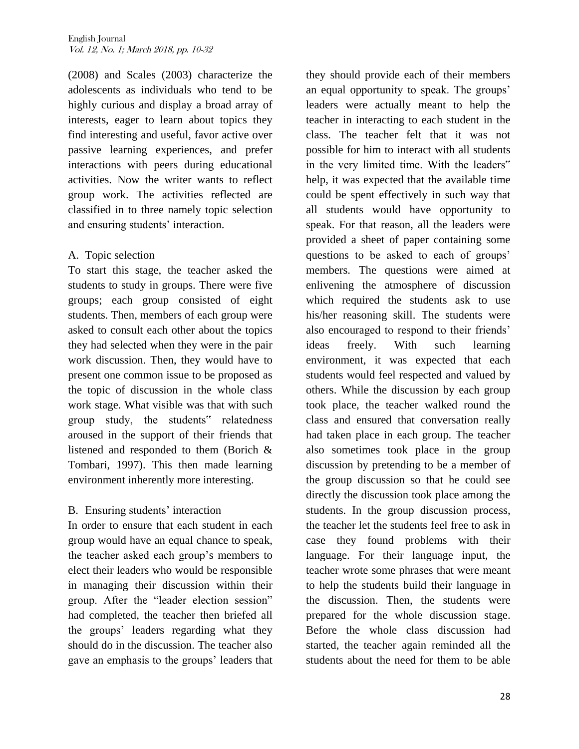(2008) and Scales (2003) characterize the adolescents as individuals who tend to be highly curious and display a broad array of interests, eager to learn about topics they find interesting and useful, favor active over passive learning experiences, and prefer interactions with peers during educational activities. Now the writer wants to reflect group work. The activities reflected are classified in to three namely topic selection and ensuring students' interaction.

## A. Topic selection

To start this stage, the teacher asked the students to study in groups. There were five groups; each group consisted of eight students. Then, members of each group were asked to consult each other about the topics they had selected when they were in the pair work discussion. Then, they would have to present one common issue to be proposed as the topic of discussion in the whole class work stage. What visible was that with such group study, the students" relatedness aroused in the support of their friends that listened and responded to them (Borich & Tombari, 1997). This then made learning environment inherently more interesting.

## B. Ensuring students' interaction

In order to ensure that each student in each group would have an equal chance to speak, the teacher asked each group"s members to elect their leaders who would be responsible in managing their discussion within their group. After the "leader election session" had completed, the teacher then briefed all the groups" leaders regarding what they should do in the discussion. The teacher also gave an emphasis to the groups" leaders that

they should provide each of their members an equal opportunity to speak. The groups' leaders were actually meant to help the teacher in interacting to each student in the class. The teacher felt that it was not possible for him to interact with all students in the very limited time. With the leaders" help, it was expected that the available time could be spent effectively in such way that all students would have opportunity to speak. For that reason, all the leaders were provided a sheet of paper containing some questions to be asked to each of groups' members. The questions were aimed at enlivening the atmosphere of discussion which required the students ask to use his/her reasoning skill. The students were also encouraged to respond to their friends" ideas freely. With such learning environment, it was expected that each students would feel respected and valued by others. While the discussion by each group took place, the teacher walked round the class and ensured that conversation really had taken place in each group. The teacher also sometimes took place in the group discussion by pretending to be a member of the group discussion so that he could see directly the discussion took place among the students. In the group discussion process, the teacher let the students feel free to ask in case they found problems with their language. For their language input, the teacher wrote some phrases that were meant to help the students build their language in the discussion. Then, the students were prepared for the whole discussion stage. Before the whole class discussion had started, the teacher again reminded all the students about the need for them to be able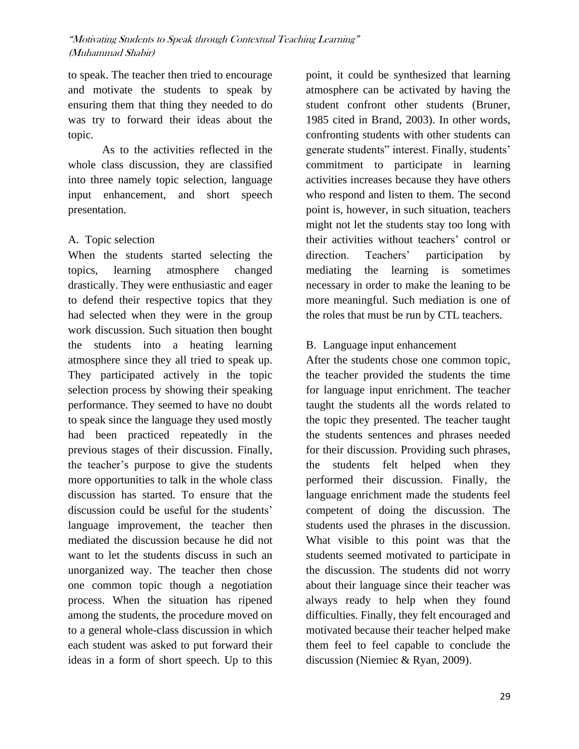to speak. The teacher then tried to encourage and motivate the students to speak by ensuring them that thing they needed to do was try to forward their ideas about the topic.

As to the activities reflected in the whole class discussion, they are classified into three namely topic selection, language input enhancement, and short speech presentation.

## A. Topic selection

When the students started selecting the topics, learning atmosphere changed drastically. They were enthusiastic and eager to defend their respective topics that they had selected when they were in the group work discussion. Such situation then bought the students into a heating learning atmosphere since they all tried to speak up. They participated actively in the topic selection process by showing their speaking performance. They seemed to have no doubt to speak since the language they used mostly had been practiced repeatedly in the previous stages of their discussion. Finally, the teacher"s purpose to give the students more opportunities to talk in the whole class discussion has started. To ensure that the discussion could be useful for the students' language improvement, the teacher then mediated the discussion because he did not want to let the students discuss in such an unorganized way. The teacher then chose one common topic though a negotiation process. When the situation has ripened among the students, the procedure moved on to a general whole-class discussion in which each student was asked to put forward their ideas in a form of short speech. Up to this

point, it could be synthesized that learning atmosphere can be activated by having the student confront other students (Bruner, 1985 cited in Brand, 2003). In other words, confronting students with other students can generate students" interest. Finally, students' commitment to participate in learning activities increases because they have others who respond and listen to them. The second point is, however, in such situation, teachers might not let the students stay too long with their activities without teachers' control or direction. Teachers' participation by mediating the learning is sometimes necessary in order to make the leaning to be more meaningful. Such mediation is one of the roles that must be run by CTL teachers.

# B. Language input enhancement

After the students chose one common topic, the teacher provided the students the time for language input enrichment. The teacher taught the students all the words related to the topic they presented. The teacher taught the students sentences and phrases needed for their discussion. Providing such phrases, the students felt helped when they performed their discussion. Finally, the language enrichment made the students feel competent of doing the discussion. The students used the phrases in the discussion. What visible to this point was that the students seemed motivated to participate in the discussion. The students did not worry about their language since their teacher was always ready to help when they found difficulties. Finally, they felt encouraged and motivated because their teacher helped make them feel to feel capable to conclude the discussion (Niemiec & Ryan, 2009).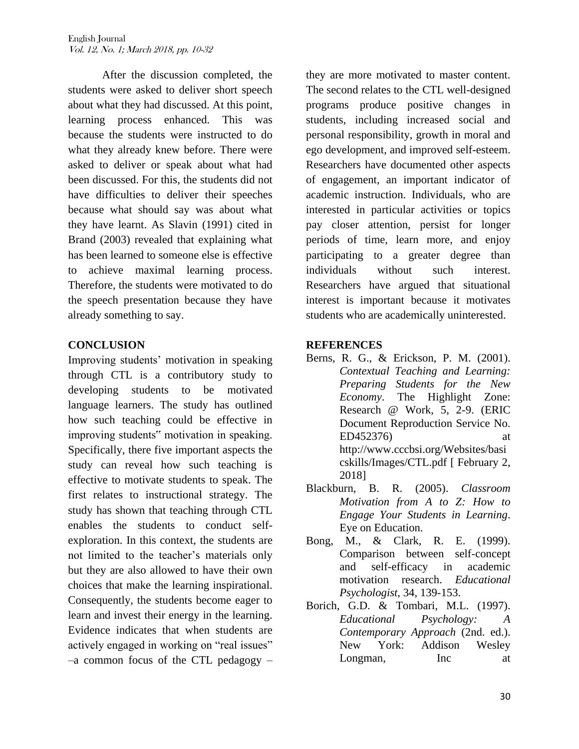After the discussion completed, the students were asked to deliver short speech about what they had discussed. At this point, learning process enhanced. This was because the students were instructed to do what they already knew before. There were asked to deliver or speak about what had been discussed. For this, the students did not have difficulties to deliver their speeches because what should say was about what they have learnt. As Slavin (1991) cited in Brand (2003) revealed that explaining what has been learned to someone else is effective to achieve maximal learning process. Therefore, the students were motivated to do the speech presentation because they have already something to say.

## **CONCLUSION**

Improving students" motivation in speaking through CTL is a contributory study to developing students to be motivated language learners. The study has outlined how such teaching could be effective in improving students" motivation in speaking. Specifically, there five important aspects the study can reveal how such teaching is effective to motivate students to speak. The first relates to instructional strategy. The study has shown that teaching through CTL enables the students to conduct selfexploration. In this context, the students are not limited to the teacher"s materials only but they are also allowed to have their own choices that make the learning inspirational. Consequently, the students become eager to learn and invest their energy in the learning. Evidence indicates that when students are actively engaged in working on "real issues" –a common focus of the CTL pedagogy –

they are more motivated to master content. The second relates to the CTL well-designed programs produce positive changes in students, including increased social and personal responsibility, growth in moral and ego development, and improved self-esteem. Researchers have documented other aspects of engagement, an important indicator of academic instruction. Individuals, who are interested in particular activities or topics pay closer attention, persist for longer periods of time, learn more, and enjoy participating to a greater degree than individuals without such interest. Researchers have argued that situational interest is important because it motivates students who are academically uninterested.

#### **REFERENCES**

- Berns, R. G., & Erickson, P. M. (2001). *Contextual Teaching and Learning: Preparing Students for the New Economy*. The Highlight Zone: Research @ Work, 5, 2-9. (ERIC Document Reproduction Service No. ED452376) at http://www.cccbsi.org/Websites/basi cskills/Images/CTL.pdf [ February 2, 2018]
- Blackburn, B. R. (2005). *Classroom Motivation from A to Z: How to Engage Your Students in Learning*. Eye on Education.
- Bong, M., & Clark, R. E. (1999). Comparison between self-concept and self-efficacy in academic motivation research. *Educational Psychologist*, 34, 139-153.
- Borich, G.D. & Tombari, M.L. (1997). *Educational Psychology: A Contemporary Approach* (2nd. ed.). New York: Addison Wesley Longman, Inc at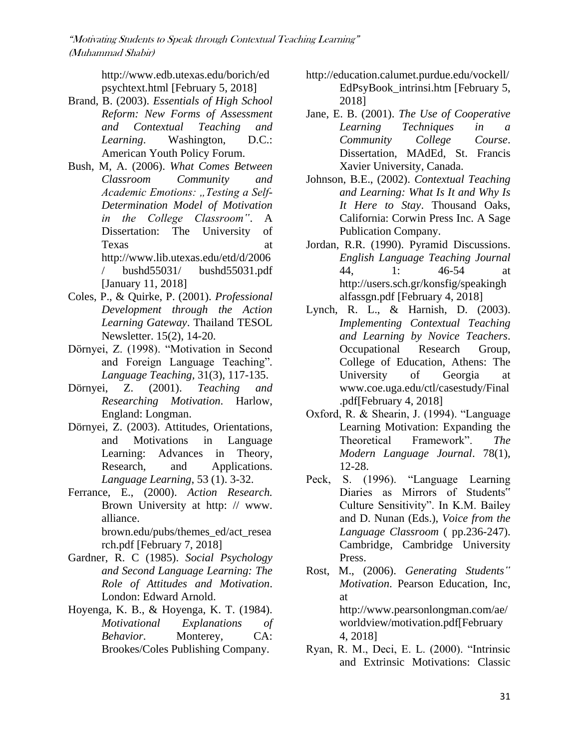http://www.edb.utexas.edu/borich/ed psychtext.html [February 5, 2018]

- Brand, B. (2003). *Essentials of High School Reform: New Forms of Assessment and Contextual Teaching and Learning*. Washington, D.C.: American Youth Policy Forum.
- Bush, M, A. (2006). *What Comes Between Classroom Community and*  Academic Emotions: "Testing a Self-*Determination Model of Motivation in the College Classroom"*. A Dissertation: The University of Texas at http://www.lib.utexas.edu/etd/d/2006 / bushd55031/ bushd55031.pdf [January 11, 2018]
- Coles, P., & Quirke, P. (2001). *Professional Development through the Action Learning Gateway*. Thailand TESOL Newsletter. 15(2), 14-20.
- Dörnyei, Z. (1998). "Motivation in Second and Foreign Language Teaching"*. Language Teaching,* 31(3), 117-135.
- Dörnyei, Z. (2001). *Teaching and Researching Motivation*. Harlow, England: Longman.
- Dörnyei, Z. (2003). Attitudes, Orientations, and Motivations in Language Learning: Advances in Theory, Research, and Applications. *Language Learning*, 53 (1). 3-32.
- Ferrance, E., (2000). *Action Research.*  Brown University at http: // www. alliance.

brown.edu/pubs/themes\_ed/act\_resea rch.pdf [February 7, 2018]

- Gardner, R. C (1985). *Social Psychology and Second Language Learning: The Role of Attitudes and Motivation*. London: Edward Arnold.
- Hoyenga, K. B., & Hoyenga, K. T. (1984). *Motivational Explanations of Behavior*. Monterey, CA: Brookes/Coles Publishing Company.
- http://education.calumet.purdue.edu/vockell/ EdPsyBook\_intrinsi.htm [February 5, 2018]
- Jane, E. B. (2001). *The Use of Cooperative Learning Techniques in a Community College Course*. Dissertation, MAdEd, St. Francis Xavier University, Canada.
- Johnson, B.E., (2002). *Contextual Teaching and Learning: What Is It and Why Is It Here to Stay*. Thousand Oaks, California: Corwin Press Inc. A Sage Publication Company.
- Jordan, R.R. (1990). Pyramid Discussions. *English Language Teaching Journal*  44, 1: 46-54 at http://users.sch.gr/konsfig/speakingh alfassgn.pdf [February 4, 2018]
- Lynch, R. L., & Harnish, D. (2003). *Implementing Contextual Teaching and Learning by Novice Teachers*. Occupational Research Group, College of Education, Athens: The University of Georgia at www.coe.uga.edu/ctl/casestudy/Final .pdf[February 4, 2018]
- Oxford, R. & Shearin, J. (1994). "Language Learning Motivation: Expanding the Theoretical Framework". *The Modern Language Journal*. 78(1), 12-28.
- Peck, S. (1996). "Language Learning Diaries as Mirrors of Students" Culture Sensitivity". In K.M. Bailey and D. Nunan (Eds.), *Voice from the Language Classroom* ( pp.236-247). Cambridge, Cambridge University Press.
- Rost, M., (2006). *Generating Students" Motivation*. Pearson Education, Inc, at http://www.pearsonlongman.com/ae/ worldview/motivation.pdf[February 4, 2018]
- Ryan, R. M., Deci, E. L. (2000). "Intrinsic and Extrinsic Motivations: Classic